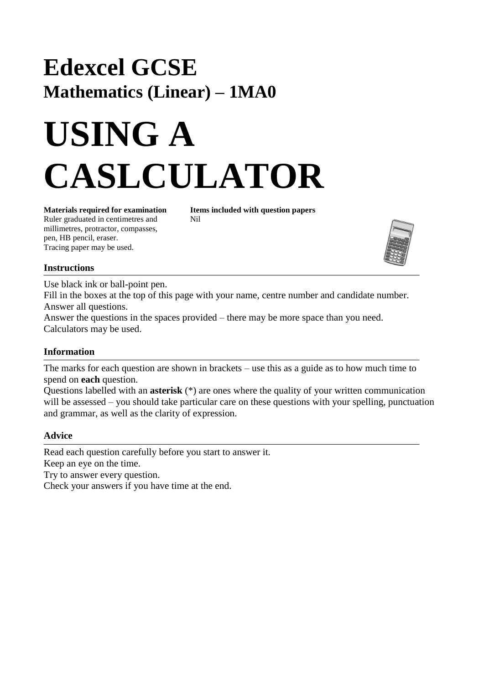# **Edexcel GCSE Mathematics (Linear) – 1MA0**

# **USING A CASLCULATOR**

**Materials required for examination Items included with question papers** Ruler graduated in centimetres and Nil millimetres, protractor, compasses, pen, HB pencil, eraser. Tracing paper may be used.



## **Instructions**

Use black ink or ball-point pen. Fill in the boxes at the top of this page with your name, centre number and candidate number. Answer all questions. Answer the questions in the spaces provided – there may be more space than you need. Calculators may be used.

## **Information**

The marks for each question are shown in brackets – use this as a guide as to how much time to spend on **each** question.

Questions labelled with an **asterisk** (\*) are ones where the quality of your written communication will be assessed – you should take particular care on these questions with your spelling, punctuation and grammar, as well as the clarity of expression.

## **Advice**

Read each question carefully before you start to answer it. Keep an eye on the time.

Try to answer every question.

Check your answers if you have time at the end.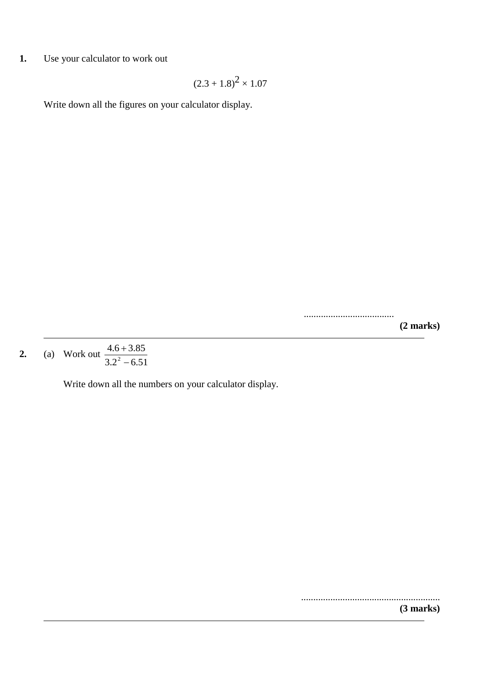**1.** Use your calculator to work out

$$
(2.3 + 1.8)^2 \times 1.07
$$

Write down all the figures on your calculator display.

..................................... **(2 marks)**

**2.** (a) Work out  $3.2^2 - 6.51$  $4.6 + 3.85$  $2^{\circ}$  $\overline{+}$ 

Write down all the numbers on your calculator display.

......................................................... **(3 marks)**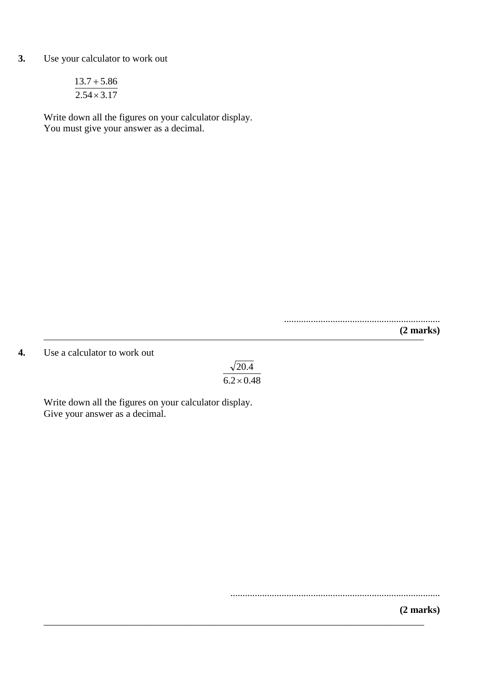#### **3.** Use your calculator to work out

$$
\frac{13.7 + 5.86}{2.54 \times 3.17}
$$

Write down all the figures on your calculator display. You must give your answer as a decimal.

................................................................

**(2 marks)**

#### **4.** Use a calculator to work out

 $6.2 \times 0.48$  $\sqrt{20.4}$ 

\_\_\_\_\_\_\_\_\_\_\_\_\_\_\_\_\_\_\_\_\_\_\_\_\_\_\_\_\_\_\_\_\_\_\_\_\_\_\_\_\_\_\_\_\_\_\_\_\_\_\_\_\_\_\_\_\_\_\_\_\_\_\_\_\_\_\_\_\_\_\_\_\_\_\_\_\_\_

Write down all the figures on your calculator display. Give your answer as a decimal.

......................................................................................

**(2 marks)**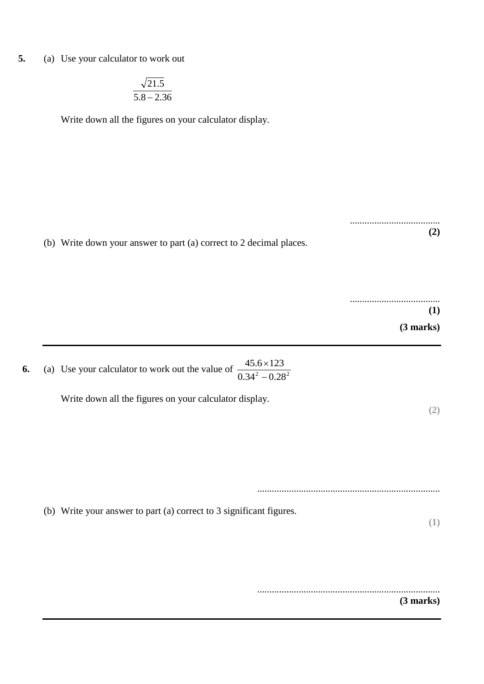**5.** (a) Use your calculator to work out

$$
\frac{\sqrt{21.5}}{5.8-2.36}
$$

Write down all the figures on your calculator display.

(b) Write down your answer to part (a) correct to 2 decimal places.

..................................... **(1)**

.....................................

 **(3 marks)**

**(2)**

**6.** (a) Use your calculator to work out the value of  $\frac{45.6 \times 125}{0.34^2 - 0.28^2}$  $45.6 \times 123$  $\overline{a}$  $\times$ 

Write down all the figures on your calculator display.

**(2)**

...........................................................................

(b) Write your answer to part (a) correct to 3 significant figures.

**(1)**

...........................................................................

 **(3 marks)**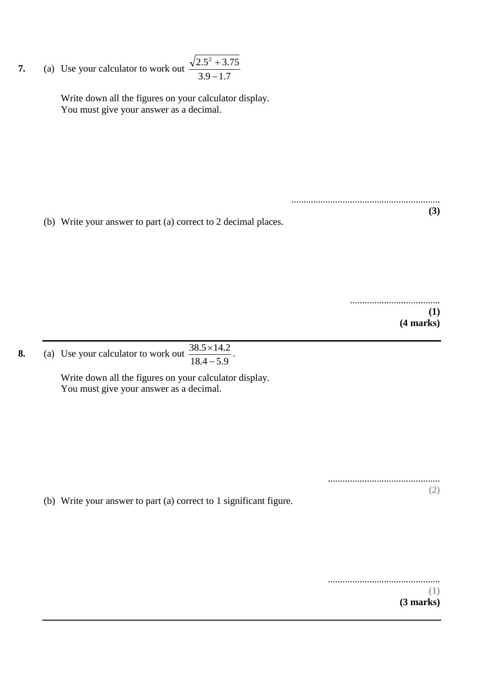**7.** (a) Use your calculator to work out  $3.9 - 1.7$  $2.5^2 + 3.75$  $\overline{a}$  $\overline{+}$ 

> Write down all the figures on your calculator display. You must give your answer as a decimal.

(b) Write your answer to part (a) correct to 2 decimal places.

..................................... **(1) (4 marks)**

**(3)**

.............................................................

**8.** (a) Use your calculator to work out  $18.4 - 5.9$  $38.5 \times 14.2$  $\overline{a}$  $\times 14.2$ .

> Write down all the figures on your calculator display. You must give your answer as a decimal.

> > .............................................. **(2)**

(b) Write your answer to part (a) correct to 1 significant figure.

.............................................. **(1) (3 marks)**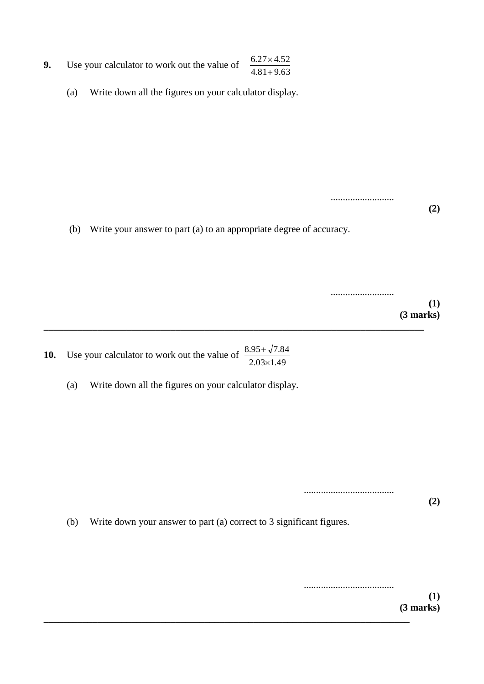| 9. | Use your calculator to work out the value of | $6.27 \times 4.52$ |
|----|----------------------------------------------|--------------------|
|    |                                              | $4.81 + 9.63$      |

(a) Write down all the figures on your calculator display.

(b) Write your answer to part (a) to an appropriate degree of accuracy.

**\_\_\_\_\_\_\_\_\_\_\_\_\_\_\_\_\_\_\_\_\_\_\_\_\_\_\_\_\_\_\_\_\_\_\_\_\_\_\_\_\_\_\_\_\_\_\_\_\_\_\_\_\_\_\_\_\_\_\_\_\_\_\_\_\_\_\_\_\_\_\_\_\_\_\_\_\_\_**

..........................

..........................

**(1) (3 marks)**

**(2)**

**10.** Use your calculator to work out the value of  $2.03 \times 1.49$  $8.95 + \sqrt{7.84}$  $\times$  $^{+}$ 

(a) Write down all the figures on your calculator display.

..................................... **(2)**

(b) Write down your answer to part (a) correct to 3 significant figures.

**\_\_\_\_\_\_\_\_\_\_\_\_\_\_\_\_\_\_\_\_\_\_\_\_\_\_\_\_\_\_\_\_\_\_\_\_\_\_\_\_\_\_\_\_\_\_\_\_\_\_\_\_\_\_\_\_\_\_\_\_\_\_\_\_\_\_\_\_\_\_\_\_\_\_\_**

..................................... **(1) (3 marks)**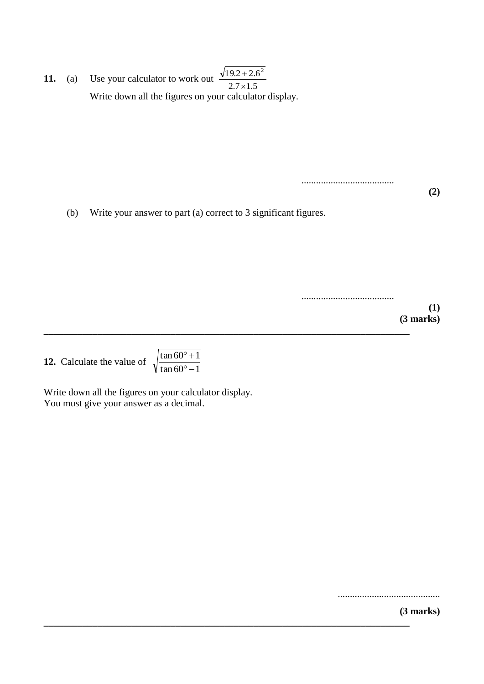**11.** (a) Use your calculator to work out Write down all the figures on your calculator display.  $2.7 \times 1.5$  $19.2 + 2.6^2$  $\times$  $\overline{+}$ 

......................................

(b) Write your answer to part (a) correct to 3 significant figures.

**\_\_\_\_\_\_\_\_\_\_\_\_\_\_\_\_\_\_\_\_\_\_\_\_\_\_\_\_\_\_\_\_\_\_\_\_\_\_\_\_\_\_\_\_\_\_\_\_\_\_\_\_\_\_\_\_\_\_\_\_\_\_\_\_\_\_\_\_\_\_\_\_\_\_\_**

**\_\_\_\_\_\_\_\_\_\_\_\_\_\_\_\_\_\_\_\_\_\_\_\_\_\_\_\_\_\_\_\_\_\_\_\_\_\_\_\_\_\_\_\_\_\_\_\_\_\_\_\_\_\_\_\_\_\_\_\_\_\_\_\_\_\_\_\_\_\_\_\_\_\_\_**

...................................... **(1) (3 marks)**

**(2)**

**12.** Calculate the value of

 $\tan 60^{\circ} - 1$  $\tan 60^\circ + 1$  $\circ$   $^{\circ}$  +

Write down all the figures on your calculator display. You must give your answer as a decimal.

..........................................

**(3 marks)**